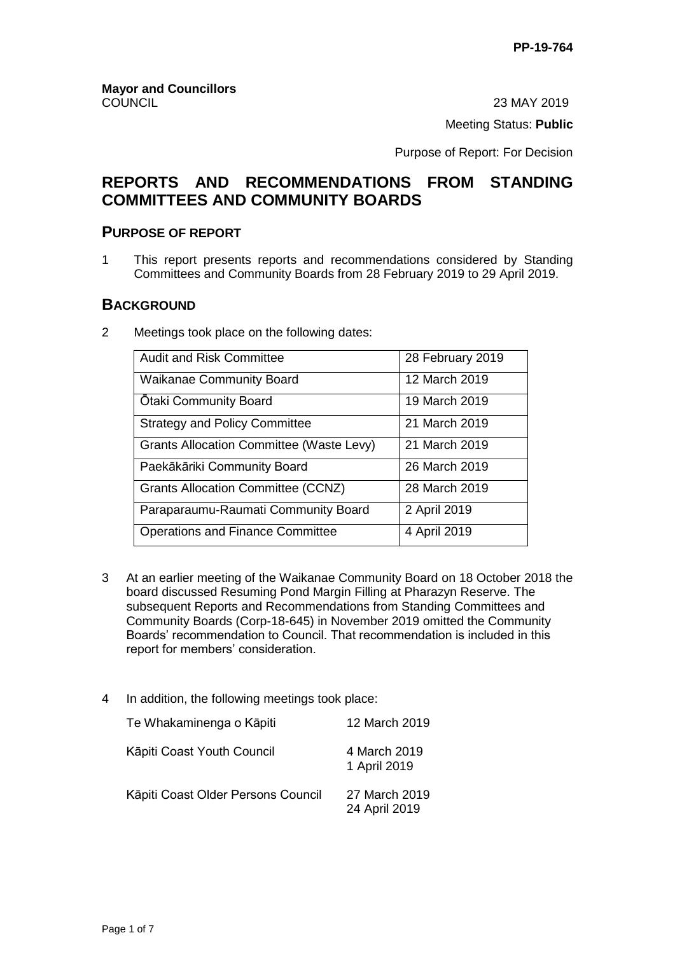23 MAY 2019 Meeting Status: **Public**

Purpose of Report: For Decision

# **REPORTS AND RECOMMENDATIONS FROM STANDING COMMITTEES AND COMMUNITY BOARDS**

## **PURPOSE OF REPORT**

1 This report presents reports and recommendations considered by Standing Committees and Community Boards from 28 February 2019 to 29 April 2019.

## **BACKGROUND**

2 Meetings took place on the following dates:

| <b>Audit and Risk Committee</b>                 | 28 February 2019 |
|-------------------------------------------------|------------------|
| <b>Waikanae Community Board</b>                 | 12 March 2019    |
| Otaki Community Board                           | 19 March 2019    |
| <b>Strategy and Policy Committee</b>            | 21 March 2019    |
| <b>Grants Allocation Committee (Waste Levy)</b> | 21 March 2019    |
| Paekākāriki Community Board                     | 26 March 2019    |
| <b>Grants Allocation Committee (CCNZ)</b>       | 28 March 2019    |
| Paraparaumu-Raumati Community Board             | 2 April 2019     |
| <b>Operations and Finance Committee</b>         | 4 April 2019     |

- 3 At an earlier meeting of the Waikanae Community Board on 18 October 2018 the board discussed Resuming Pond Margin Filling at Pharazyn Reserve. The subsequent Reports and Recommendations from Standing Committees and Community Boards (Corp-18-645) in November 2019 omitted the Community Boards' recommendation to Council. That recommendation is included in this report for members' consideration.
- 4 In addition, the following meetings took place:

| Te Whakaminenga o Kāpiti           | 12 March 2019                  |
|------------------------------------|--------------------------------|
| Kāpiti Coast Youth Council         | 4 March 2019<br>1 April 2019   |
| Kāpiti Coast Older Persons Council | 27 March 2019<br>24 April 2019 |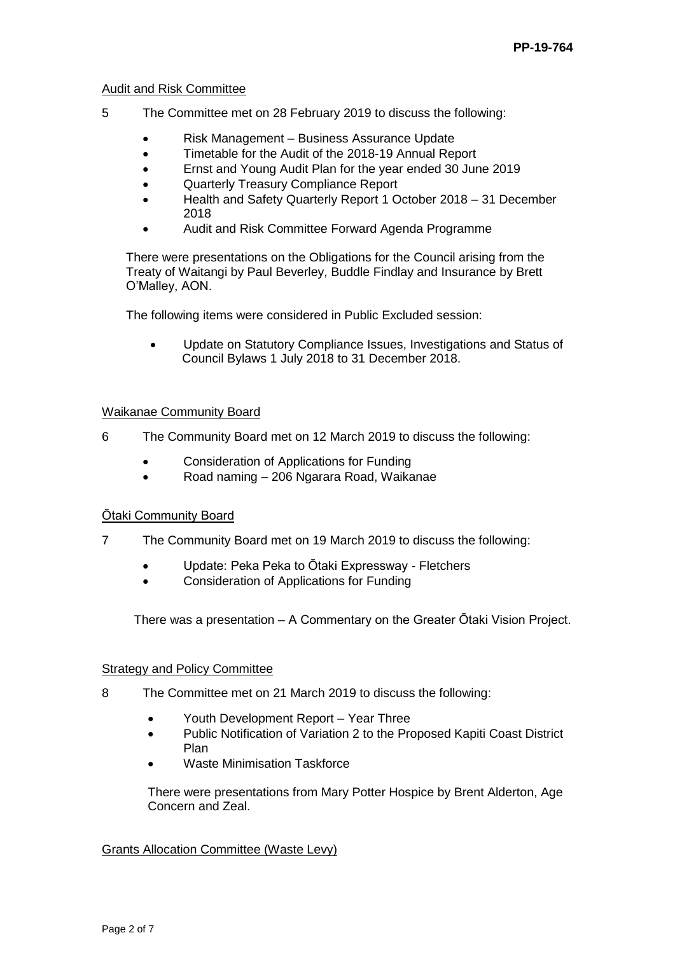#### Audit and Risk Committee

- 5 The Committee met on 28 February 2019 to discuss the following:
	- Risk Management Business Assurance Update
	- Timetable for the Audit of the 2018-19 Annual Report
	- Ernst and Young Audit Plan for the year ended 30 June 2019
	- Quarterly Treasury Compliance Report
	- Health and Safety Quarterly Report 1 October 2018 31 December 2018
	- Audit and Risk Committee Forward Agenda Programme

There were presentations on the Obligations for the Council arising from the Treaty of Waitangi by Paul Beverley, Buddle Findlay and Insurance by Brett O'Malley, AON.

The following items were considered in Public Excluded session:

 Update on Statutory Compliance Issues, Investigations and Status of Council Bylaws 1 July 2018 to 31 December 2018.

#### Waikanae Community Board

- 6 The Community Board met on 12 March 2019 to discuss the following:
	- Consideration of Applications for Funding
	- Road naming 206 Ngarara Road, Waikanae

## Ōtaki Community Board

- 7 The Community Board met on 19 March 2019 to discuss the following:
	- Update: Peka Peka to Ōtaki Expressway Fletchers
	- Consideration of Applications for Funding

There was a presentation – A Commentary on the Greater Ōtaki Vision Project.

#### Strategy and Policy Committee

- 8 The Committee met on 21 March 2019 to discuss the following:
	- Youth Development Report Year Three
	- Public Notification of Variation 2 to the Proposed Kapiti Coast District Plan
	- Waste Minimisation Taskforce

There were presentations from Mary Potter Hospice by Brent Alderton, Age Concern and Zeal.

#### Grants Allocation Committee (Waste Levy)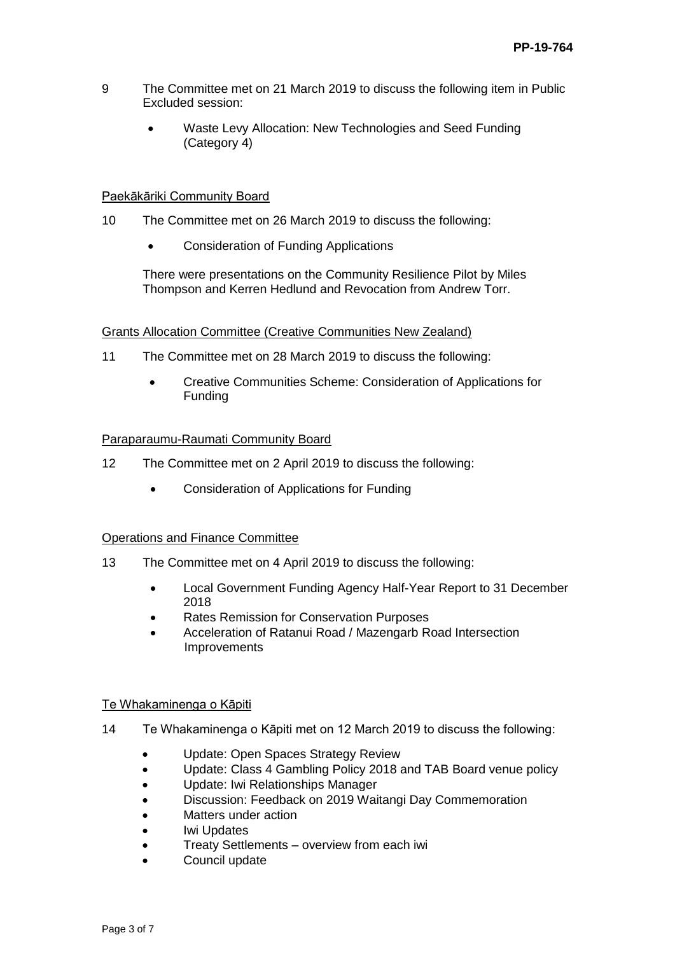- 9 The Committee met on 21 March 2019 to discuss the following item in Public Excluded session:
	- Waste Levy Allocation: New Technologies and Seed Funding (Category 4)

#### Paekākāriki Community Board

- 10 The Committee met on 26 March 2019 to discuss the following:
	- Consideration of Funding Applications

There were presentations on the Community Resilience Pilot by Miles Thompson and Kerren Hedlund and Revocation from Andrew Torr.

## Grants Allocation Committee (Creative Communities New Zealand)

- 11 The Committee met on 28 March 2019 to discuss the following:
	- Creative Communities Scheme: Consideration of Applications for Funding

## Paraparaumu-Raumati Community Board

- 12 The Committee met on 2 April 2019 to discuss the following:
	- Consideration of Applications for Funding

## Operations and Finance Committee

- 13 The Committee met on 4 April 2019 to discuss the following:
	- Local Government Funding Agency Half-Year Report to 31 December 2018
	- Rates Remission for Conservation Purposes
	- Acceleration of Ratanui Road / Mazengarb Road Intersection Improvements

#### Te Whakaminenga o Kāpiti

- 14 Te Whakaminenga o Kāpiti met on 12 March 2019 to discuss the following:
	- Update: Open Spaces Strategy Review
	- Update: Class 4 Gambling Policy 2018 and TAB Board venue policy
	- Update: Iwi Relationships Manager
	- Discussion: Feedback on 2019 Waitangi Day Commemoration
	- Matters under action
	- Iwi Updates
	- Treaty Settlements overview from each iwi
	- Council update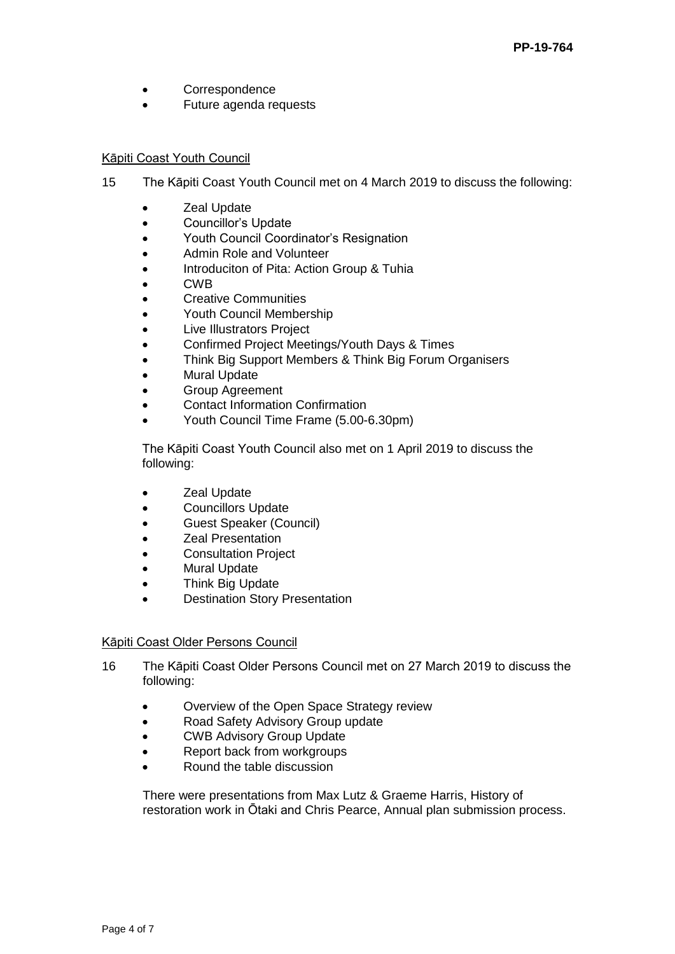- Correspondence
- Future agenda requests

## Kāpiti Coast Youth Council

- 15 The Kāpiti Coast Youth Council met on 4 March 2019 to discuss the following:
	- **Zeal Update**
	- Councillor's Update
	- Youth Council Coordinator's Resignation
	- Admin Role and Volunteer
	- Introduciton of Pita: Action Group & Tuhia
	- CWB
	- Creative Communities
	- Youth Council Membership
	- Live Illustrators Project
	- Confirmed Project Meetings/Youth Days & Times
	- Think Big Support Members & Think Big Forum Organisers
	- Mural Update
	- **•** Group Agreement
	- Contact Information Confirmation
	- Youth Council Time Frame (5.00-6.30pm)

The Kāpiti Coast Youth Council also met on 1 April 2019 to discuss the following:

- **Zeal Update**
- Councillors Update
- Guest Speaker (Council)
- Zeal Presentation
- Consultation Project
- Mural Update
- Think Big Update
- Destination Story Presentation

## Kāpiti Coast Older Persons Council

- 16 The Kāpiti Coast Older Persons Council met on 27 March 2019 to discuss the following:
	- Overview of the Open Space Strategy review
	- Road Safety Advisory Group update
	- CWB Advisory Group Update
	- Report back from workgroups
	- Round the table discussion

There were presentations from Max Lutz & Graeme Harris, History of restoration work in Ōtaki and Chris Pearce, Annual plan submission process.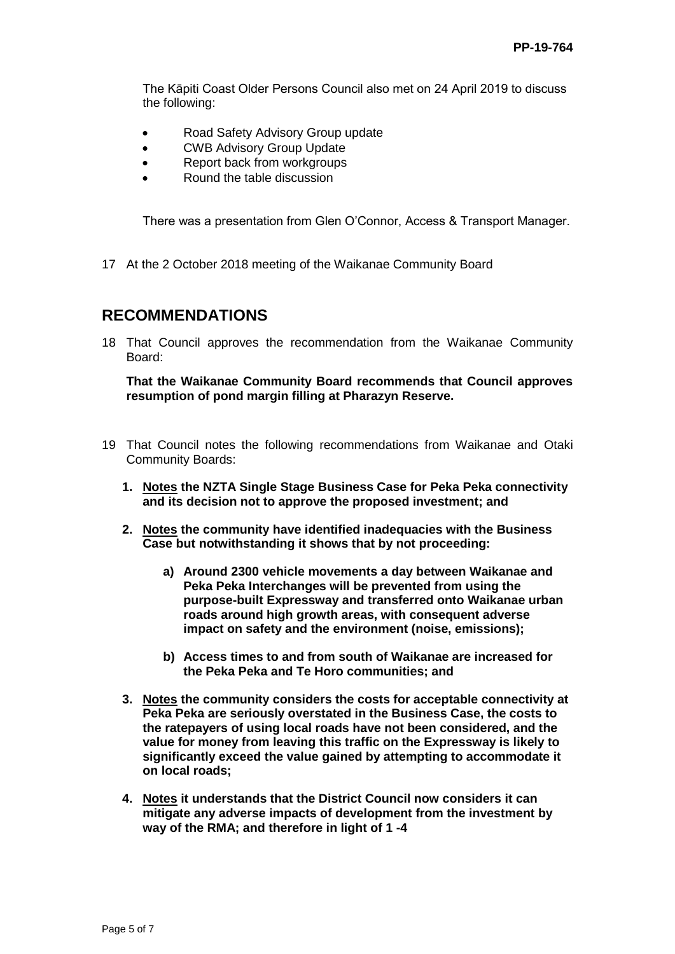The Kāpiti Coast Older Persons Council also met on 24 April 2019 to discuss the following:

- Road Safety Advisory Group update
- CWB Advisory Group Update
- Report back from workgroups
- Round the table discussion

There was a presentation from Glen O'Connor, Access & Transport Manager.

17 At the 2 October 2018 meeting of the Waikanae Community Board

## **RECOMMENDATIONS**

18 That Council approves the recommendation from the Waikanae Community Board:

**That the Waikanae Community Board recommends that Council approves resumption of pond margin filling at Pharazyn Reserve.**

- 19 That Council notes the following recommendations from Waikanae and Otaki Community Boards:
	- **1. Notes the NZTA Single Stage Business Case for Peka Peka connectivity and its decision not to approve the proposed investment; and**
	- **2. Notes the community have identified inadequacies with the Business Case but notwithstanding it shows that by not proceeding:**
		- **a) Around 2300 vehicle movements a day between Waikanae and Peka Peka Interchanges will be prevented from using the purpose-built Expressway and transferred onto Waikanae urban roads around high growth areas, with consequent adverse impact on safety and the environment (noise, emissions);**
		- **b) Access times to and from south of Waikanae are increased for the Peka Peka and Te Horo communities; and**
	- **3. Notes the community considers the costs for acceptable connectivity at Peka Peka are seriously overstated in the Business Case, the costs to the ratepayers of using local roads have not been considered, and the value for money from leaving this traffic on the Expressway is likely to significantly exceed the value gained by attempting to accommodate it on local roads;**
	- **4. Notes it understands that the District Council now considers it can mitigate any adverse impacts of development from the investment by way of the RMA; and therefore in light of 1 -4**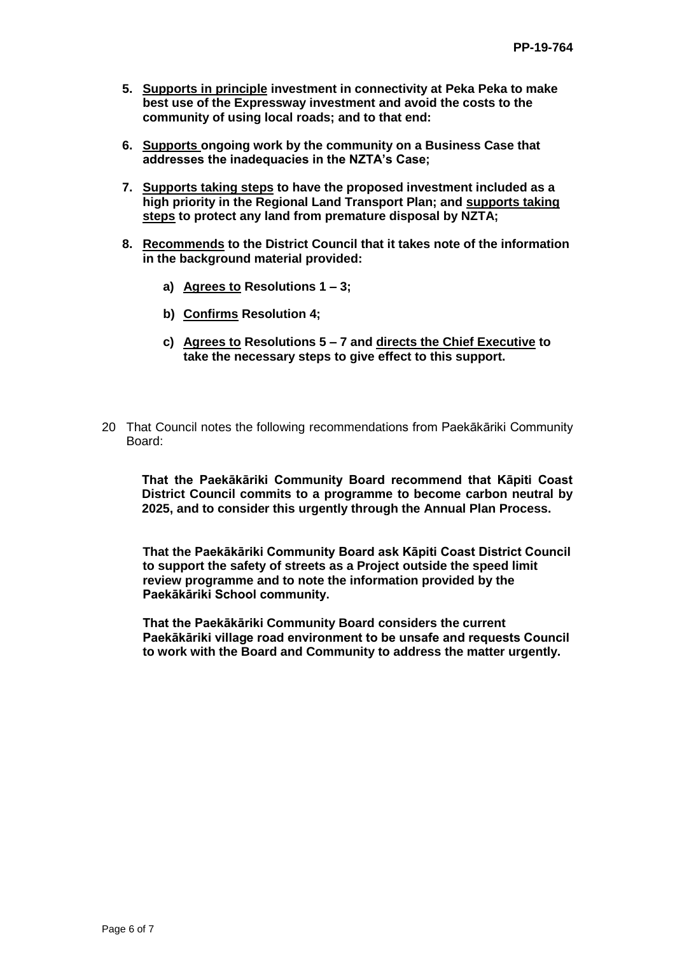- **5. Supports in principle investment in connectivity at Peka Peka to make best use of the Expressway investment and avoid the costs to the community of using local roads; and to that end:**
- **6. Supports ongoing work by the community on a Business Case that addresses the inadequacies in the NZTA's Case;**
- **7. Supports taking steps to have the proposed investment included as a high priority in the Regional Land Transport Plan; and supports taking steps to protect any land from premature disposal by NZTA;**
- **8. Recommends to the District Council that it takes note of the information in the background material provided:**
	- **a) Agrees to Resolutions 1 – 3;**
	- **b) Confirms Resolution 4;**
	- **c) Agrees to Resolutions 5 – 7 and directs the Chief Executive to take the necessary steps to give effect to this support.**
- 20 That Council notes the following recommendations from Paekākāriki Community Board:

**That the Paekākāriki Community Board recommend that Kāpiti Coast District Council commits to a programme to become carbon neutral by 2025, and to consider this urgently through the Annual Plan Process.**

**That the Paekākāriki Community Board ask Kāpiti Coast District Council to support the safety of streets as a Project outside the speed limit review programme and to note the information provided by the Paekākāriki School community.**

**That the Paekākāriki Community Board considers the current Paekākāriki village road environment to be unsafe and requests Council to work with the Board and Community to address the matter urgently.**